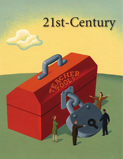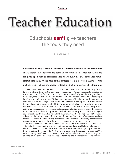# **Teacher Education**

# Ed schools **don't** give teachers the tools they need

by KATE WALSH

For almost as long as there have been institutions dedicated to the preparation of new teachers, the endeavor has come in for criticism. Teacher education has long struggled both to professionalize and to fully integrate itself into mainstream academia. At the core of this struggle was a perception that there was no body of specialized knowledge for teaching that justified specialized training.

Over the last few decades, criticism of teacher preparation has shifted away from a largely academic debate to the troubling performance of American students. Shocked by teacher education's refusal to train teachers to use scientifically based reading methods, Reid Lyon, who headed a 30-year study at the National Institutes of Health of how people best learn to read, once stated, "If there was any piece of legislation that I could pass it would be to blow up colleges of education." The suggestion was repeated in a 2009 speech by Craig Barrett, the former chair of Intel Corporation, who had been working to improve math and science education. Arne Duncan, the Obama administration's secretary of education, having previously served as schools superintendent in Chicago, one of the nation's most troubled school districts, gave back-to-back speeches early in his tenure decrying the state of the field: "By almost any standard, many if not most of the nation's 1,450 schools, colleges, and departments of education are doing a mediocre job of preparing teachers for the realities of the 21st-century classroom," and "America's university-based teacher preparation programs need revolutionary change, not evolutionary thinking."

An occasional insider has joined the fray. Arthur Levine, former dean of what many consider to be the preeminent teacher-preparation program, Teachers College, Columbia University, has been savage in his criticism: "Teacher education is the Dodge City of the education world. Like the fabled Wild West town, it is unruly and disordered," he wrote in 2006. He then swiftly abandoned his involvement with traditional teacher preparation altogether, starting up his own alternative pathway to teaching, the Woodrow Wilson fellowships.

ILLUSTRATION /ADAM NIKLEWICZ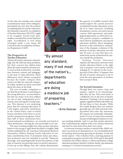At the time, his remarks were viewed as mutinous by many of his colleagues, particularly his view that the primary accrediting body for teacher education, the National Council for Accreditation of Teacher Education (NCATE), ought to be scrapped. Several years later, insiders conceded that Levine had been right. Accreditation is now being revamped under a new name, the Council for the Accreditation of Educator Preparation (CAEP).

#### **The Perspective of Teacher Educators**

Almost all teacher educators acknowledge that the field has deep problems, but their concern has seldom been about the issues raised by external critics such as lack of selectivity, an imbalance between content and pedagogy, or the lack of value delivered. These differences aren't always recognized because the insider critiques often sound a lot like the external critiques. In reality, insiders are more concerned about the chaos in the field.

The core of insider complaints is not that the profession is marching in the wrong direction, as some believe, but that too many of its foot soldiers are out of step, inadequately provisioned, and carrying the wrong weapons. This disarray is not surprising, given that the training takes place at 1,450 higher-education institutions in the United States, each of which houses anywhere from three to seven teacher-preparation programs. Fewer than half of these institutions have

earned national accreditation—an anomaly not found in other professions—leaving the rest answerable to no one.

The most revealing insight into what teacher educators believe to be wrong or right about the field is a lengthy 2006 volume published by the American Educational Research Association (AERA), Studying Teacher Education. It contains contributions from 15 prominent deans and education professors and was intended to provide "balanced, thorough, and unapologetically honest descriptions of the state of research on particular topics in teacher education." It lives up to that billing. First, the volume demonstrates



"By almost any standard, many if not most of the nation's… departments of education are doing a mediocre job of preparing teachers."

*—Arne Duncan*

the paucity of credible research that would support the current practices of traditional teacher education, across all of its many functions, including foundations courses, arts and sciences courses, field experiences, and pedagogical approaches, as well as how current practice prepares candidates to teach diverse populations and special education students. More intriguing, however, is the contributors' examination of the dramatic evolution of the mission of teacher education over the last 50 years, in ways that have certainly been poorly understood by anyone outside the profession.

Studying Teacher Education explains the disconnect between what teacher educators believe is the right way to prepare a new teacher and the unhappy K–12 schools on the receiving end of that effort. It happens that the job of teacher educators is not to train the next generation of teachers but to prepare them.

#### **Far beyond Semantics**

Though those two terms—train and prepare—appear to be interchangeable, they are not. This word choice is a deliberate one on the part of teacher education ("training" is never used) and signals a significant shift in the field over the last three or four decades. While few would disagree that new teachers generally get very little practical training before they enter the classroom, the reasons are profoundly misunderstood. It is not, as many have assumed, because of ideological resistance to vari-

ous teaching methods. And it is not that teacher educators don't understand the realities of the 21st-century classroom and need to come down from their ivory tower.

It is because training a teacher is viewed (if the AERA volume is accurate in its summation) as "an oversimplification of teaching and learning, ignoring its dynamic, social and moral aspects." This evolution from a training purpose to a preparation purpose started in the 1970s and is described in detail by the AERA volume co-editor and Boston College education professor Marilyn Cochran-Smith, who dismisses training as a "technical transmission activity."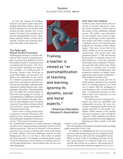# **feature** TEACHER EDUCATION WALSH

In 2012, the Thomas B. Fordham Institute surveyed teacher educators, finding substantial evidence that most teacher educators do not see their role, at least not their primary role, to be a trainer of teachers. For example, just 37 percent responded that it was an "absolutely essential" feature of their job to develop "teachers who maintain discipline and order in the classroom."

### **The Philosophy behind Teacher Formation**

Harking back perhaps to teacher education's 19th-century ecclesiastical origins, its mission has shifted away from the medical model of training doctors to professional formation. The function of teacher education is to launch the candidate on a lifelong path of learning, distinct from knowing, as actual knowledge is perceived as too fluid to be achievable. In the course of a teacher's preparation, prejudices and errant assumptions must be confronted and expunged, with particular emphasis on those related to race, class, language, and culture. This improbable feat, not unlike the transformation of Pinocchio from puppet to real boy, is accomplished as candidates reveal their feelings and attitudes through abundant in-class dialogue and by keeping a journal. From these activities is born each teacher's unique philosophy of teaching and learning.

There is also a strong social-justice component to teacher education, with teachers cast as "activists committed to diminishing the inequities of American society." That vision of a teacher is seen

by a considerable fraction of teacher educators (although not all) as more important than preparing a teacher to be an effective instructor. This view of a teacher's role as transformational is not wrong, as teachers often serve as the means by which children overcome challenges inherent in their backgrounds. But it is one that is often taken to absurd extremes in practice. For example, a textbook used in a math course for elementary school teachers is entitled Social Justice through Mathematics, which explains why the view is so often disparaged.



**Training** a teacher is viewed as "an oversimplification of teaching and learning, ignoring its dynamic, social and moral aspects."

> *—American Education Research Association*

#### **Find Your Own Method**

Nowhere is the chasm between the two visions of teacher education—training versus formation—clearer than in the demise of the traditional methods course. The public, and policymakers who require such courses in regulations governing teacher education, may assume that when a teacher takes a methods course, it is to learn the best methods for teaching certain subject matter. That view, we are told in the AERA volume, is for the most part an anachronism. The current view, state professors Renee T. Clift and Patricia Brady, is that "A methods course is seldom defined as a class that transmits information about methods of instruction and ends with a final exam. [They] are seen as complex sites in which instructors work simultaneously with prospective teachers on beliefs, teaching practices and creation of identities their students' and their own."

The statement reveals just how far afield teacher education has traveled from its training purposes. It is hard not to suspect that the ambiguity in such language as the "creation of identities" is purposeful, because if a class fails to meet such objectives, no one would be the wiser.

The shift away from training to formation has had one immediate and indisputable outcome: the onus of a teacher's training has shifted from the teacher educators to the teacher candidates. What remains of the teacher educator's purpose is only to build the "capacity" of the candidate to be able to make seasoned professional judgments. Figuring out what actually to do falls

entirely on the candidate.

Here is the guidance provided to student teachers at a large public university in New York:

In addition to establishing the norm for your level, you must, after determining your year-end goals, break down all that you will teach into manageable lessons. While so much of this is something you learn on the job, a great measure of it must be inside you, or you must be able to find it in a resource. This means that if you do not know the content of a grade level, or if you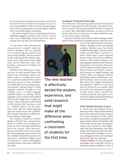do not know how to prepare a lesson plan, or if you do not know how to do whatever is expected of you, it is your responsibility to find out how to do these things. Your university preparation is not intended to address every conceivable aspect of teaching.

Do not be surprised if your Cooperating Teacher is helpful but suggests you find out the "how to" on your own. Your Cooperating Teacher knows the value of owning your way into your teaching style.

As this frank (and substantively representative) example indicates, teacher candidates who are typically 21 or 22 years of age are asked to carry quite a heavy burden. The new teacher is effectively denied the wisdom, experience, and solid research that might make all the difference when confronting a classroom of students for the first time.

Nowhere is the abdication of training truer or more harmful than in the course work elementary teacher candidates take in reading instruction. It is commonly assumed that teacher educators opt not to train candidates in scientifically based reading instruction, instead "training" them in "whole language" methods. Actually, no such training occurs, as whole language methods require no training. Whole language is not an instructional method that a teacher might learn to apply, but merely a theory (flawed at that) based on the premise that learning to read is a "natural" process. It is no coincidence then that the whole-language approach tracks nicely with a philosophy of teacher education in which technical training is disparaged.

The National Council on Teacher Quality (NCTQ) has reviewed hundreds of syllabi from reading programs at more than 800 institutions across the country. What these programs most often teach is not to adopt the whole language approach but that the candidate should develop her own approach to teaching reading, based on exposure to various philosophies and approaches, none more valid than any other.



The new teacher is effectively denied the wisdom, experience, and solid research that might make all the difference when confronting a classroom of students for the first time.

#### **Academic Freedom's Downside**

The vilification of the training model of teacher education has been compounded by the principle of academic freedom run amok. The way that academic freedom is supposed to work is that individual professors are given license to decide what topics to teach, but not when evidentiary support for those topics is lacking.

Academic freedom only works if a field is willing to police itself on what constitutes acceptable content, which has yet to

> occur in the field of teacher education. Further, though case law surrounding academic freedom issues has clearly established that higher-education leadership can still require a professor to teach certain topics, overly expansive faculty contracts have led to a different outcome. Most faculty contracts contain language modeled on the American Association of University Professors' (AAUP) Statement of Principles on Academic Freedom and Tenure. Contractual promises are legally binding, and AAUP's policy on academic freedom holds that professors should have complete freedom to teach any topic, other than those that "suggest disciplinary incompetence." Ideas are wrong only if they are rejected by an academic field, not if they lack experimental support. In other words, unless a faculty were to meet and decide what topics can or cannot be taught, individual professors are left to teach what they want.

#### **What Should Teachers Learn?**

In recent years, the primary focus of states has been, What should students learn? One result has been the Common Core State Standards (CCSS), which have at this writing been adopted by 45 states and the District of Columbia. The CCSS make all the more pressing the need to train teachers to teach differently than they themselves were likely taught. Absolutely essential is the effective training of all candidates in necessary pedagogical tools and techniques before they enter the classroom:

• Early reading. We have the specific knowledge that would allow all but a small percentage of children to read. If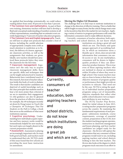# **feature** TEACHER EDUCATION WALSH

we applied that knowledge systematically, we could reduce reading failure from some 30 percent to less than 5 percent. • The Common Core and mathematics. As part of their own training, elementary teachers will have had to develop a fluid and conceptual understanding of numbers systems in all of their representations, something that we estimate is not currently happening in 75 percent of teacher education programs. • The Common Core and English language arts.Teachers will have to adopt new protocols that consider a host of

factors, including the careful selection of appropriately complex texts (with as much attention to nonfiction as to fiction), the delivery of a lesson, appropriate classroom activities, as well as the assignments that students are given. Ideally, new teachers should have practiced these protocols before they enter the classroom for the first time.

• Classroom management. Experience isn't the only way to acquire classroom management skills; there are specific skills and techniques that can be taught and practiced to mastery. Behaviorists have contributed much of this research, but most of teacher education holds this body of work in disdain. The result is that teacher candidates are deprived of useful knowledge such as the clear principle that students need to hear a lot more praise than criticism if we are to maximize their engagement. Us eful guidance can also be gleaned from the practices of effective teachers, for example, the 49 techniques recently set down by Doug Lemov in Teach Like a Champion: 49 Techniques That Put Students on the Path to College, a book that serves as the antithesis of what most institutions espouse.

• Cognitive psychology. Understanding how individuals acquire expertise and how memory works would be tremendously helpful for new teachers, but such topics are largely absent in the current preparation model.

• Assessment. Assessment is playing an increasingly important role (in ways both good and bad), and teachers need to understand that role. NCTQ's study of this issue found that few schools are providing the most basic instruction on assessment.



Currently, consumers of teacher education, both aspiring teachers and school districts, do not know which institutions are doing a great job and which are not.

## **Moving the Higher Ed Mountain**

The challenge then is to find ways to motivate institutions to change in the direction of effective training. This is a battle that will be fought on many fronts, but the critical change must come in the incentives that drive the market for new teachers. Applying a variety of metrics to program performance will create the information consumers need to make different decisions.

Currently, consumers of teacher education, both aspiring teachers and school districts, do not know which

institutions are doing a great job and which are not. The binary and quite opaque approach of accrediting bodies, in which an institution earns a thumbs-up or -down, does not provide information that consumers can easily access or use. In any marketplace, consumers will be drawn to higherquality products if they can determine key product features. This is true even of those aspiring teachers who are inclined to choose an institution within 50 miles of where they went to high school. One reason teachers may stay so close to home is that there is no objective measure of program quality or performance that might provide an incentive to relocate. That need not be the case. NCTQ is rating the quality of individual teacher-preparation programs using a set of measurable, objective standards that reflect what public school educators view as important attributes in new teachers.

The NCTQ Teacher Prep Review, slated for initial release in June 2013, is rating teacher-preparation programs across the country. By examining the fundamental requirements of each program—admissions standards, course requirements, coverage of essential content, preparation in the CCSS, how the student teaching program operates, instruction in classroom management and lesson planning, and how teacher candidates are judged ready for the classroom—the Review will capture the information that any consumer of these programs would want to see, including aspiring teachers and school districts looking to hire the best teachers. The Review also looks at the degree to which programs track outcomes in an effort to